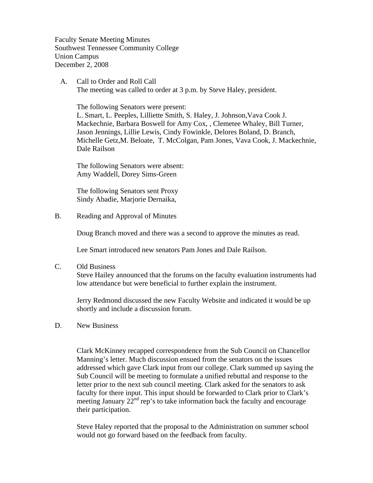Faculty Senate Meeting Minutes Southwest Tennessee Community College Union Campus December 2, 2008

 A. Call to Order and Roll Call The meeting was called to order at 3 p.m. by Steve Haley, president.

 The following Senators were present: L. Smart, L. Peeples, Lilliette Smith, S. Haley, J. Johnson,Vava Cook J. Mackechnie, Barbara Boswell for Amy Cox, , Clemetee Whaley, Bill Turner, Jason Jennings, Lillie Lewis, Cindy Fowinkle, Delores Boland, D. Branch, Michelle Getz,M. Beloate, T. McColgan, Pam Jones, Vava Cook, J. Mackechnie, Dale Railson

The following Senators were absent: Amy Waddell, Dorey Sims-Green

The following Senators sent Proxy Sindy Abadie, Marjorie Dernaika,

B. Reading and Approval of Minutes

Doug Branch moved and there was a second to approve the minutes as read.

Lee Smart introduced new senators Pam Jones and Dale Railson.

C. Old Business

Steve Hailey announced that the forums on the faculty evaluation instruments had low attendance but were beneficial to further explain the instrument.

Jerry Redmond discussed the new Faculty Website and indicated it would be up shortly and include a discussion forum.

D. New Business

Clark McKinney recapped correspondence from the Sub Council on Chancellor Manning's letter. Much discussion ensued from the senators on the issues addressed which gave Clark input from our college. Clark summed up saying the Sub Council will be meeting to formulate a unified rebuttal and response to the letter prior to the next sub council meeting. Clark asked for the senators to ask faculty for there input. This input should be forwarded to Clark prior to Clark's meeting January  $22<sup>nd</sup>$  rep's to take information back the faculty and encourage their participation.

Steve Haley reported that the proposal to the Administration on summer school would not go forward based on the feedback from faculty.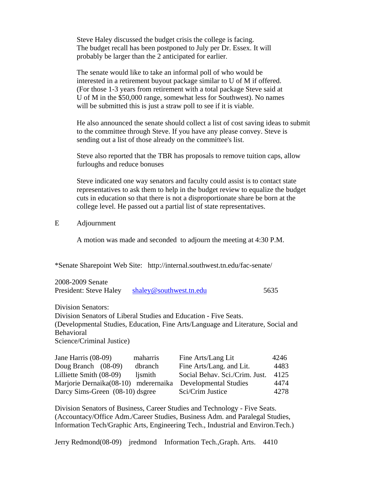Steve Haley discussed the budget crisis the college is facing. The budget recall has been postponed to July per Dr. Essex. It will probably be larger than the 2 anticipated for earlier.

The senate would like to take an informal poll of who would be interested in a retirement buyout package similar to U of M if offered. (For those 1-3 years from retirement with a total package Steve said at U of M in the \$50,000 range, somewhat less for Southwest). No names will be submitted this is just a straw poll to see if it is viable.

He also announced the senate should collect a list of cost saving ideas to submit to the committee through Steve. If you have any please convey. Steve is sending out a list of those already on the committee's list.

Steve also reported that the TBR has proposals to remove tuition caps, allow furloughs and reduce bonuses

Steve indicated one way senators and faculty could assist is to contact state representatives to ask them to help in the budget review to equalize the budget cuts in education so that there is not a disproportionate share be born at the college level. He passed out a partial list of state representatives.

#### E Adjournment

A motion was made and seconded to adjourn the meeting at 4:30 P.M.

\*Senate Sharepoint Web Site: http://internal.southwest.tn.edu/fac-senate/

| 2008-2009 Senate       |                         |      |
|------------------------|-------------------------|------|
| President: Steve Haley | shaley@southwest.tn.edu | 5635 |

Division Senators:

Division Senators of Liberal Studies and Education - Five Seats. (Developmental Studies, Education, Fine Arts/Language and Literature, Social and Behavioral Science/Criminal Justice)

| Jane Harris $(08-09)$                | maharris | Fine Arts/Lang Lit             | 4246 |
|--------------------------------------|----------|--------------------------------|------|
| Doug Branch $(08-09)$                | dbranch  | Fine Arts/Lang. and Lit.       | 4483 |
| Lilliette Smith (08-09)              | ljsmith  | Social Behav. Sci./Crim. Just. | 4125 |
| Marjorie Dernaika(08-10) mderernaika |          | Developmental Studies          | 4474 |
| Darcy Sims-Green (08-10) dsgree      |          | Sci/Crim Justice               | 4278 |

Division Senators of Business, Career Studies and Technology - Five Seats. (Accountacy/Office Adm./Career Studies, Business Adm. and Paralegal Studies, Information Tech/Graphic Arts, Engineering Tech., Industrial and Environ.Tech.)

Jerry Redmond(08-09) jredmond Information Tech.,Graph. Arts. 4410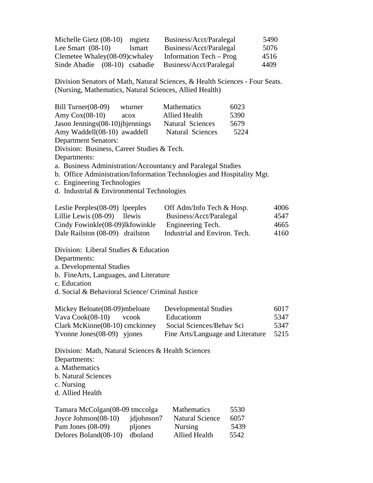| Michelle Gietz $(08-10)$      | mgietz        | Business/Acct/Paralegal | 5490 |
|-------------------------------|---------------|-------------------------|------|
| Lee Smart $(08-10)$           | <i>lsmart</i> | Business/Acct/Paralegal | 5076 |
| Clemetee Whaley(08-09)cwhaley |               | Information Tech – Prog | 4516 |
| Sinde Abadie (08-10) csabadie |               | Business/Acct/Paralegal | 4409 |

Division Senators of Math, Natural Sciences, & Health Sciences - Four Seats. (Nursing, Mathematics, Natural Sciences, Allied Health)

| Bill Turner(08-09)<br>Amy $Cox(08-10)$<br>Jason Jennings (08-10) jbjennings<br>Amy Waddell(08-10) awaddell<br><b>Department Senators:</b>                                                                                                                                         | wturner<br>acox | Mathematics<br><b>Allied Health</b><br>Natural Sciences<br>Natural Sciences                                  | 6023<br>5390<br>5679<br>5224 |                              |  |  |
|-----------------------------------------------------------------------------------------------------------------------------------------------------------------------------------------------------------------------------------------------------------------------------------|-----------------|--------------------------------------------------------------------------------------------------------------|------------------------------|------------------------------|--|--|
| Division: Business, Career Studies & Tech.<br>Departments:<br>a. Business Administration/Accountancy and Paralegal Studies<br>b. Office Administration/Information Technologies and Hospitality Mgt.<br>c. Engineering Technologies<br>d. Industrial & Environmental Technologies |                 |                                                                                                              |                              |                              |  |  |
| Leslie Peeples $(08-09)$ lpeeples<br>Lillie Lewis (08-09)<br>Cindy Fowinkle(08-09)lkfowinkle<br>Dale Railston (08-09) drailston                                                                                                                                                   | llewis          | Off Adm/Info Tech & Hosp.<br>Business/Acct/Paralegal<br>Engineering Tech.<br>Industrial and Environ. Tech.   |                              | 4006<br>4547<br>4665<br>4160 |  |  |
| Division: Liberal Studies & Education<br>Departments:<br>a. Developmental Studies<br>b. FineArts, Languages, and Literature<br>c. Education<br>d. Social & Behavioral Science/ Criminal Justice                                                                                   |                 |                                                                                                              |                              |                              |  |  |
| Mickey Beloate(08-09)mbeloate<br>Vava Cook(08-10)<br>Clark McKinne(08-10) cmckinney<br>Yvonne Jones $(08-09)$ yjones                                                                                                                                                              | vcook           | <b>Developmental Studies</b><br>Educationm<br>Social Sciences/Behav Sci<br>Fine Arts/Language and Literature |                              | 6017<br>5347<br>5347<br>5215 |  |  |
| Division: Math, Natural Sciences & Health Sciences<br>Departments:<br>a. Mathematics                                                                                                                                                                                              |                 |                                                                                                              |                              |                              |  |  |

Tamara McColgan(08-09 tmccolga Mathematics 5530<br>Joyce Johnson(08-10) jdjohnson7 Natural Science 6057 Joyce Johnson(08-10) jdjohnson7 Natural Science 6057

Pam Jones (08-09) plyones Nursing 5439<br>Delores Boland (08-10) dboland Allied Health 5542 Delores Boland(08-10) dboland Allied Health 5542

b. Natural Sciences

c. Nursing d. Allied Health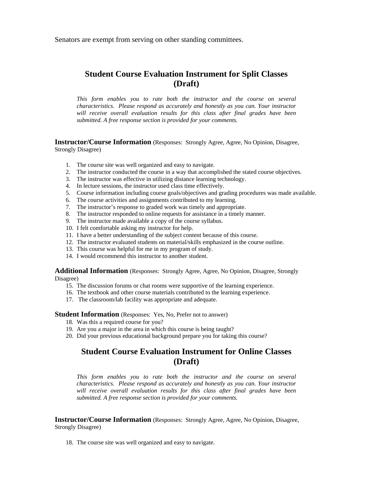Senators are exempt from serving on other standing committees.

# **Student Course Evaluation Instrument for Split Classes (Draft)**

*This form enables you to rate both the instructor and the course on several characteristics. Please respond as accurately and honestly as you can. Your instructor*  will receive overall evaluation results for this class after final grades have been *submitted. A free response section is provided for your comments.* 

**Instructor/Course Information** (Responses: Strongly Agree, Agree, No Opinion, Disagree, Strongly Disagree)

- 1. The course site was well organized and easy to navigate.
- 2. The instructor conducted the course in a way that accomplished the stated course objectives.
- 3. The instructor was effective in utilizing distance learning technology.
- 4. In lecture sessions, the instructor used class time effectively.
- 5. Course information including course goals/objectives and grading procedures was made available.
- 6. The course activities and assignments contributed to my learning.
- 7. The instructor's response to graded work was timely and appropriate.
- 8. The instructor responded to online requests for assistance in a timely manner.
- 9. The instructor made available a copy of the course syllabus.
- 10. I felt comfortable asking my instructor for help.
- 11. I have a better understanding of the subject content because of this course.
- 12. The instructor evaluated students on material/skills emphasized in the course outline.
- 13. This course was helpful for me in my program of study.
- 14. I would recommend this instructor to another student.

**Additional Information** (Responses: Strongly Agree, Agree, No Opinion, Disagree, Strongly Disagree)

- 15. The discussion forums or chat rooms were supportive of the learning experience.
- 16. The textbook and other course materials contributed to the learning experience.
- 17. The classroom/lab facility was appropriate and adequate.

**Student Information** (Responses: Yes, No, Prefer not to answer)

- 18. Was this a required course for you?
- 19. Are you a major in the area in which this course is being taught?
- 20. Did your previous educational background prepare you for taking this course?

### **Student Course Evaluation Instrument for Online Classes (Draft)**

*This form enables you to rate both the instructor and the course on several characteristics. Please respond as accurately and honestly as you can. Your instructor will receive overall evaluation results for this class after final grades have been submitted. A free response section is provided for your comments.* 

**Instructor/Course Information** (Responses: Strongly Agree, Agree, No Opinion, Disagree, Strongly Disagree)

18. The course site was well organized and easy to navigate.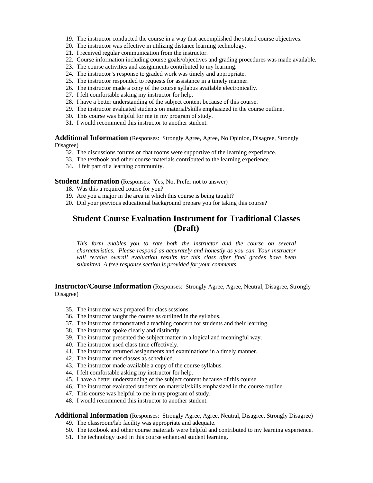- 19. The instructor conducted the course in a way that accomplished the stated course objectives.
- 20. The instructor was effective in utilizing distance learning technology.
- 21. I received regular communication from the instructor.
- 22. Course information including course goals/objectives and grading procedures was made available.
- 23. The course activities and assignments contributed to my learning.
- 24. The instructor's response to graded work was timely and appropriate.
- 25. The instructor responded to requests for assistance in a timely manner.
- 26. The instructor made a copy of the course syllabus available electronically.
- 27. I felt comfortable asking my instructor for help.
- 28. I have a better understanding of the subject content because of this course.
- 29. The instructor evaluated students on material/skills emphasized in the course outline.
- 30. This course was helpful for me in my program of study.
- 31. I would recommend this instructor to another student.

**Additional Information** (Responses: Strongly Agree, Agree, No Opinion, Disagree, Strongly Disagree)

- 32. The discussions forums or chat rooms were supportive of the learning experience.
- 33. The textbook and other course materials contributed to the learning experience.
- 34. I felt part of a learning community.

**Student Information** (Responses: Yes, No, Prefer not to answer)

- 18. Was this a required course for you?
- 19. Are you a major in the area in which this course is being taught?
- 20. Did your previous educational background prepare you for taking this course?

## **Student Course Evaluation Instrument for Traditional Classes (Draft)**

*This form enables you to rate both the instructor and the course on several characteristics. Please respond as accurately and honestly as you can. Your instructor will receive overall evaluation results for this class after final grades have been submitted. A free response section is provided for your comments.* 

**Instructor/Course Information** (Responses: Strongly Agree, Agree, Neutral, Disagree, Strongly Disagree)

- 35. The instructor was prepared for class sessions.
- 36. The instructor taught the course as outlined in the syllabus.
- 37. The instructor demonstrated a teaching concern for students and their learning.
- 38. The instructor spoke clearly and distinctly.
- 39. The instructor presented the subject matter in a logical and meaningful way.
- 40. The instructor used class time effectively.
- 41. The instructor returned assignments and examinations in a timely manner.
- 42. The instructor met classes as scheduled.
- 43. The instructor made available a copy of the course syllabus.
- 44. I felt comfortable asking my instructor for help.
- 45. I have a better understanding of the subject content because of this course.
- 46. The instructor evaluated students on material/skills emphasized in the course outline.
- 47. This course was helpful to me in my program of study.
- 48. I would recommend this instructor to another student.

#### **Additional Information** (Responses: Strongly Agree, Agree, Neutral, Disagree, Strongly Disagree)

- 49. The classroom/lab facility was appropriate and adequate.
- 50. The textbook and other course materials were helpful and contributed to my learning experience.
- 51. The technology used in this course enhanced student learning.